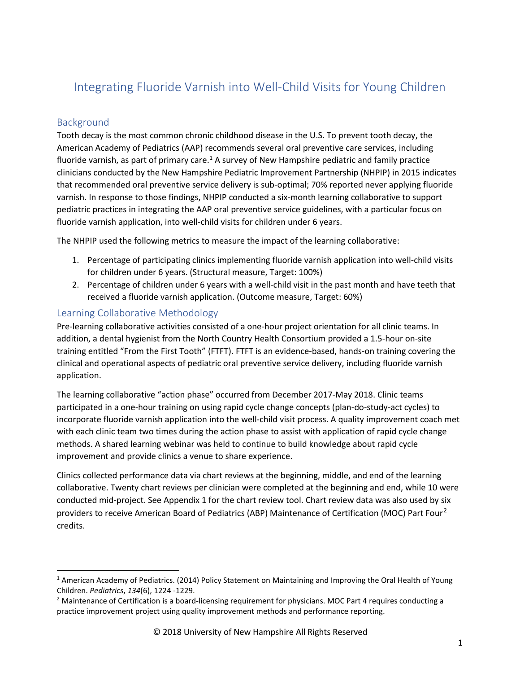# Integrating Fluoride Varnish into Well-Child Visits for Young Children

## Background

Tooth decay is the most common chronic childhood disease in the U.S. To prevent tooth decay, the American Academy of Pediatrics (AAP) recommends several oral preventive care services, including fluoride varnish, as part of primary care.<sup>1</sup> A survey of New Hampshire pediatric and family practice clinicians conducted by the New Hampshire Pediatric Improvement Partnership (NHPIP) in 2015 indicates that recommended oral preventive service delivery is sub-optimal; 70% reported never applying fluoride varnish. In response to those findings, NHPIP conducted a six-month learning collaborative to support pediatric practices in integrating the AAP oral preventive service guidelines, with a particular focus on fluoride varnish application, into well-child visits for children under 6 years.

The NHPIP used the following metrics to measure the impact of the learning collaborative:

- 1. Percentage of participating clinics implementing fluoride varnish application into well-child visits for children under 6 years. (Structural measure, Target: 100%)
- 2. Percentage of children under 6 years with a well-child visit in the past month and have teeth that received a fluoride varnish application. (Outcome measure, Target: 60%)

## Learning Collaborative Methodology

Pre-learning collaborative activities consisted of a one-hour project orientation for all clinic teams. In addition, a dental hygienist from the North Country Health Consortium provided a 1.5-hour on-site training entitled "From the First Tooth" (FTFT). FTFT is an evidence-based, hands-on training covering the clinical and operational aspects of pediatric oral preventive service delivery, including fluoride varnish application.

The learning collaborative "action phase" occurred from December 2017-May 2018. Clinic teams participated in a one-hour training on using rapid cycle change concepts (plan-do-study-act cycles) to incorporate fluoride varnish application into the well-child visit process. A quality improvement coach met with each clinic team two times during the action phase to assist with application of rapid cycle change methods. A shared learning webinar was held to continue to build knowledge about rapid cycle improvement and provide clinics a venue to share experience.

Clinics collected performance data via chart reviews at the beginning, middle, and end of the learning collaborative. Twenty chart reviews per clinician were completed at the beginning and end, while 10 were conducted mid-project. See Appendix 1 for the chart review tool. Chart review data was also used by six providers to receive American Board of Pediatrics (ABP) Maintenance of Certification (MOC) Part Four<sup>2</sup> credits.

 <sup>1</sup> American Academy of Pediatrics. (2014) Policy Statement on Maintaining and Improving the Oral Health of Young Children. *Pediatrics*, *134*(6), 1224 -1229.

<sup>&</sup>lt;sup>2</sup> Maintenance of Certification is a board-licensing requirement for physicians. MOC Part 4 requires conducting a practice improvement project using quality improvement methods and performance reporting.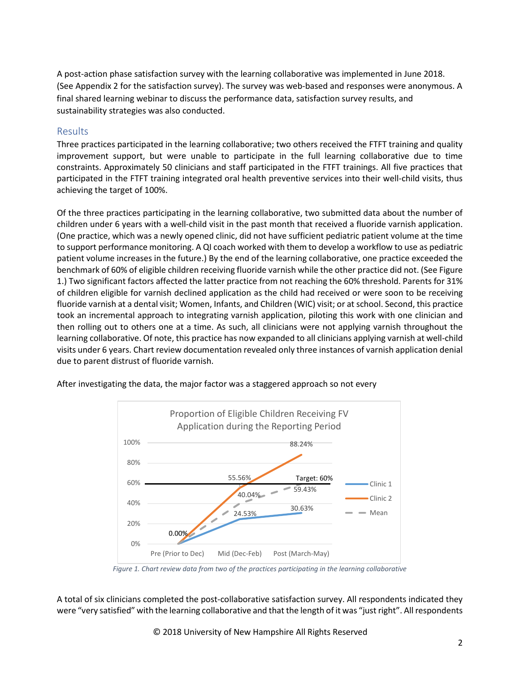A post-action phase satisfaction survey with the learning collaborative was implemented in June 2018. (See Appendix 2 for the satisfaction survey). The survey was web-based and responses were anonymous. A final shared learning webinar to discuss the performance data, satisfaction survey results, and sustainability strategies was also conducted.

## Results

Three practices participated in the learning collaborative; two others received the FTFT training and quality improvement support, but were unable to participate in the full learning collaborative due to time constraints. Approximately 50 clinicians and staff participated in the FTFT trainings. All five practices that participated in the FTFT training integrated oral health preventive services into their well-child visits, thus achieving the target of 100%.

Of the three practices participating in the learning collaborative, two submitted data about the number of children under 6 years with a well-child visit in the past month that received a fluoride varnish application. (One practice, which was a newly opened clinic, did not have sufficient pediatric patient volume at the time to support performance monitoring. A QI coach worked with them to develop a workflow to use as pediatric patient volume increases in the future.) By the end of the learning collaborative, one practice exceeded the benchmark of 60% of eligible children receiving fluoride varnish while the other practice did not. (See Figure 1.) Two significant factors affected the latter practice from not reaching the 60% threshold. Parents for 31% of children eligible for varnish declined application as the child had received or were soon to be receiving fluoride varnish at a dental visit; Women, Infants, and Children (WIC) visit; or at school. Second, this practice took an incremental approach to integrating varnish application, piloting this work with one clinician and then rolling out to others one at a time. As such, all clinicians were not applying varnish throughout the learning collaborative. Of note, this practice has now expanded to all clinicians applying varnish at well-child visits under 6 years. Chart review documentation revealed only three instances of varnish application denial due to parent distrust of fluoride varnish.





*Figure 1. Chart review data from two of the practices participating in the learning collaborative*

A total of six clinicians completed the post-collaborative satisfaction survey. All respondents indicated they were "very satisfied" with the learning collaborative and that the length of it was "just right". Allrespondents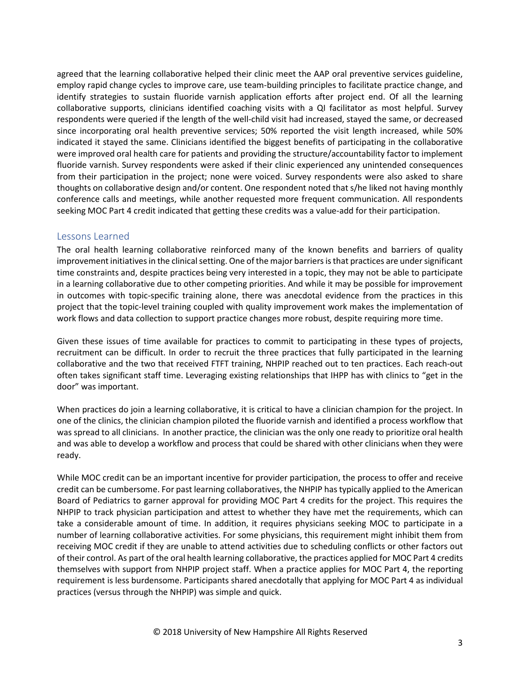agreed that the learning collaborative helped their clinic meet the AAP oral preventive services guideline, employ rapid change cycles to improve care, use team-building principles to facilitate practice change, and identify strategies to sustain fluoride varnish application efforts after project end. Of all the learning collaborative supports, clinicians identified coaching visits with a QI facilitator as most helpful. Survey respondents were queried if the length of the well-child visit had increased, stayed the same, or decreased since incorporating oral health preventive services; 50% reported the visit length increased, while 50% indicated it stayed the same. Clinicians identified the biggest benefits of participating in the collaborative were improved oral health care for patients and providing the structure/accountability factor to implement fluoride varnish. Survey respondents were asked if their clinic experienced any unintended consequences from their participation in the project; none were voiced. Survey respondents were also asked to share thoughts on collaborative design and/or content. One respondent noted that s/he liked not having monthly conference calls and meetings, while another requested more frequent communication. All respondents seeking MOC Part 4 credit indicated that getting these credits was a value-add for their participation.

## Lessons Learned

The oral health learning collaborative reinforced many of the known benefits and barriers of quality improvement initiatives in the clinical setting. One of the major barriers is that practices are under significant time constraints and, despite practices being very interested in a topic, they may not be able to participate in a learning collaborative due to other competing priorities. And while it may be possible for improvement in outcomes with topic-specific training alone, there was anecdotal evidence from the practices in this project that the topic-level training coupled with quality improvement work makes the implementation of work flows and data collection to support practice changes more robust, despite requiring more time.

Given these issues of time available for practices to commit to participating in these types of projects, recruitment can be difficult. In order to recruit the three practices that fully participated in the learning collaborative and the two that received FTFT training, NHPIP reached out to ten practices. Each reach-out often takes significant staff time. Leveraging existing relationships that IHPP has with clinics to "get in the door" was important.

When practices do join a learning collaborative, it is critical to have a clinician champion for the project. In one of the clinics, the clinician champion piloted the fluoride varnish and identified a process workflow that was spread to all clinicians. In another practice, the clinician was the only one ready to prioritize oral health and was able to develop a workflow and process that could be shared with other clinicians when they were ready.

While MOC credit can be an important incentive for provider participation, the process to offer and receive credit can be cumbersome. For past learning collaboratives, the NHPIP has typically applied to the American Board of Pediatrics to garner approval for providing MOC Part 4 credits for the project. This requires the NHPIP to track physician participation and attest to whether they have met the requirements, which can take a considerable amount of time. In addition, it requires physicians seeking MOC to participate in a number of learning collaborative activities. For some physicians, this requirement might inhibit them from receiving MOC credit if they are unable to attend activities due to scheduling conflicts or other factors out of their control. As part of the oral health learning collaborative, the practices applied for MOC Part 4 credits themselves with support from NHPIP project staff. When a practice applies for MOC Part 4, the reporting requirement is less burdensome. Participants shared anecdotally that applying for MOC Part 4 as individual practices (versus through the NHPIP) was simple and quick.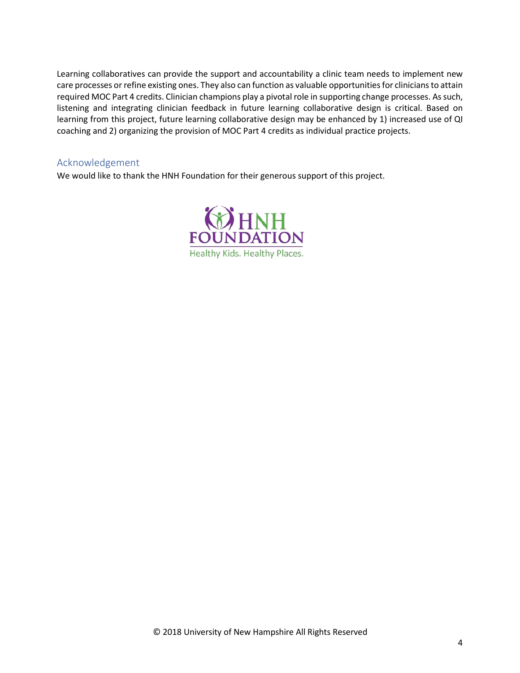Learning collaboratives can provide the support and accountability a clinic team needs to implement new care processes or refine existing ones. They also can function as valuable opportunities for clinicians to attain required MOC Part 4 credits. Clinician champions play a pivotal role in supporting change processes. Assuch, listening and integrating clinician feedback in future learning collaborative design is critical. Based on learning from this project, future learning collaborative design may be enhanced by 1) increased use of QI coaching and 2) organizing the provision of MOC Part 4 credits as individual practice projects.

## Acknowledgement

We would like to thank the HNH Foundation for their generous support of this project.

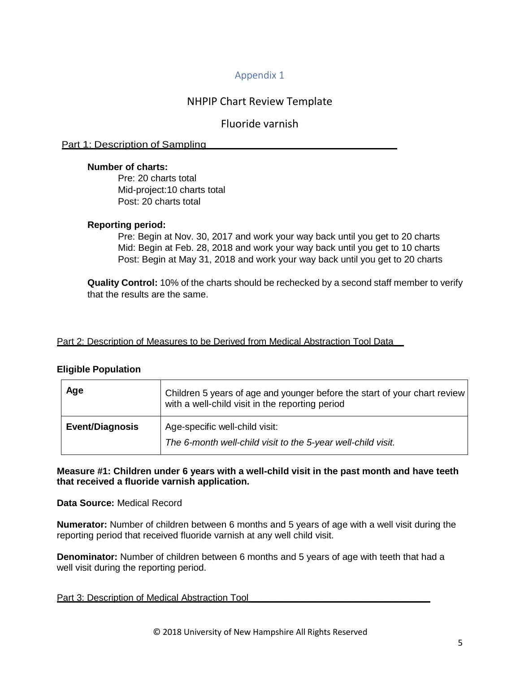## Appendix 1

## NHPIP Chart Review Template

## Fluoride varnish

#### Part 1: Description of Sampling

#### **Number of charts:**

Pre: 20 charts total Mid-project:10 charts total Post: 20 charts total

#### **Reporting period:**

Pre: Begin at Nov. 30, 2017 and work your way back until you get to 20 charts Mid: Begin at Feb. 28, 2018 and work your way back until you get to 10 charts Post: Begin at May 31, 2018 and work your way back until you get to 20 charts

**Quality Control:** 10% of the charts should be rechecked by a second staff member to verify that the results are the same.

#### Part 2: Description of Measures to be Derived from Medical Abstraction Tool Data\_\_

#### **Eligible Population**

| Age                    | Children 5 years of age and younger before the start of your chart review<br>with a well-child visit in the reporting period |
|------------------------|------------------------------------------------------------------------------------------------------------------------------|
| <b>Event/Diagnosis</b> | Age-specific well-child visit:<br>The 6-month well-child visit to the 5-year well-child visit.                               |

**Measure #1: Children under 6 years with a well-child visit in the past month and have teeth that received a fluoride varnish application.**

#### **Data Source:** Medical Record

**Numerator:** Number of children between 6 months and 5 years of age with a well visit during the reporting period that received fluoride varnish at any well child visit.

**Denominator:** Number of children between 6 months and 5 years of age with teeth that had a well visit during the reporting period.

#### Part 3: Description of Medical Abstraction Tool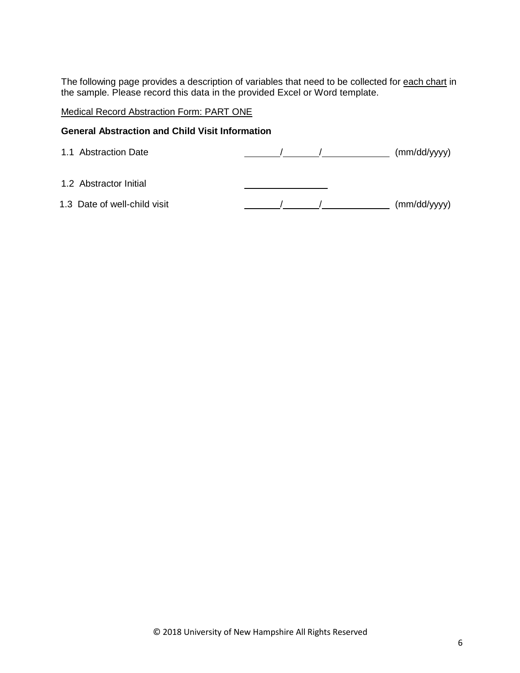The following page provides a description of variables that need to be collected for each chart in the sample. Please record this data in the provided Excel or Word template.

## Medical Record Abstraction Form: PART ONE

#### **General Abstraction and Child Visit Information**

| 1.1 Abstraction Date         |  | (mm/dd/yyyy) |
|------------------------------|--|--------------|
| 1.2 Abstractor Initial       |  |              |
| 1.3 Date of well-child visit |  | (mm/dd/yyyy) |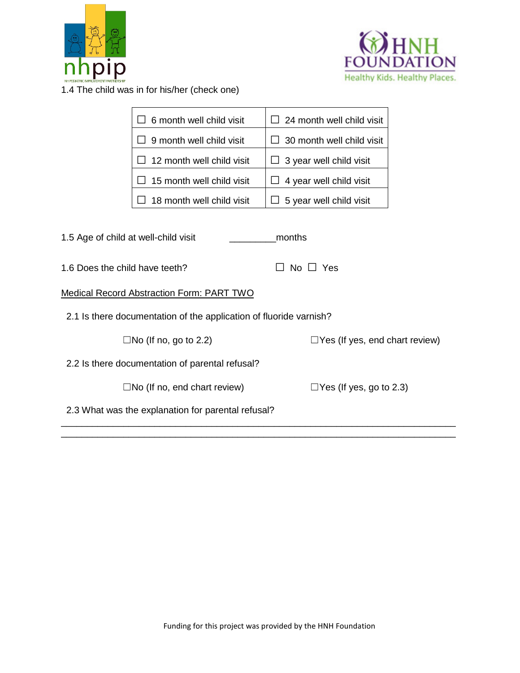



1.4 The child was in for his/her (check one)

|                                                 | 6 month well child visit                                           | 24 month well child visit             |  |
|-------------------------------------------------|--------------------------------------------------------------------|---------------------------------------|--|
|                                                 | 9 month well child visit                                           | 30 month well child visit             |  |
|                                                 | 12 month well child visit                                          | 3 year well child visit               |  |
|                                                 | 15 month well child visit                                          | 4 year well child visit               |  |
|                                                 | 18 month well child visit                                          | 5 year well child visit               |  |
|                                                 |                                                                    |                                       |  |
| 1.5 Age of child at well-child visit            |                                                                    | months                                |  |
| 1.6 Does the child have teeth?<br>No $\Box$ Yes |                                                                    |                                       |  |
|                                                 | <b>Medical Record Abstraction Form: PART TWO</b>                   |                                       |  |
|                                                 | 2.1 Is there documentation of the application of fluoride varnish? |                                       |  |
|                                                 | $\Box$ No (If no, go to 2.2)                                       | $\Box$ Yes (If yes, end chart review) |  |
|                                                 | 2.2 Is there documentation of parental refusal?                    |                                       |  |
|                                                 | $\square$ No (If no, end chart review)                             | $\Box$ Yes (If yes, go to 2.3)        |  |
|                                                 | 2.3 What was the explanation for parental refusal?                 |                                       |  |

\_\_\_\_\_\_\_\_\_\_\_\_\_\_\_\_\_\_\_\_\_\_\_\_\_\_\_\_\_\_\_\_\_\_\_\_\_\_\_\_\_\_\_\_\_\_\_\_\_\_\_\_\_\_\_\_\_\_\_\_\_\_\_\_\_\_\_\_\_\_\_\_\_\_\_\_ \_\_\_\_\_\_\_\_\_\_\_\_\_\_\_\_\_\_\_\_\_\_\_\_\_\_\_\_\_\_\_\_\_\_\_\_\_\_\_\_\_\_\_\_\_\_\_\_\_\_\_\_\_\_\_\_\_\_\_\_\_\_\_\_\_\_\_\_\_\_\_\_\_\_\_\_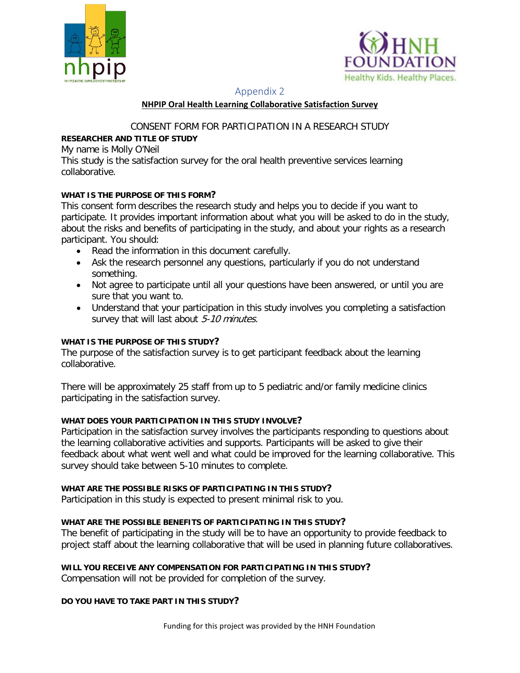



#### Appendix 2

#### **NHPIP Oral Health Learning Collaborative Satisfaction Survey**

CONSENT FORM FOR PARTICIPATION IN A RESEARCH STUDY

## **RESEARCHER AND TITLE OF STUDY**

My name is Molly O'Neil

This study is the satisfaction survey for the oral health preventive services learning collaborative.

## **WHAT IS THE PURPOSE OF THIS FORM?**

This consent form describes the research study and helps you to decide if you want to participate. It provides important information about what you will be asked to do in the study, about the risks and benefits of participating in the study, and about your rights as a research participant. You should:

- Read the information in this document carefully.
- Ask the research personnel any questions, particularly if you do not understand something.
- Not agree to participate until all your questions have been answered, or until you are sure that you want to.
- Understand that your participation in this study involves you completing a satisfaction survey that will last about 5-10 minutes.

## **WHAT IS THE PURPOSE OF THIS STUDY?**

The purpose of the satisfaction survey is to get participant feedback about the learning collaborative.

There will be approximately 25 staff from up to 5 pediatric and/or family medicine clinics participating in the satisfaction survey.

## **WHAT DOES YOUR PARTICIPATION IN THIS STUDY INVOLVE?**

Participation in the satisfaction survey involves the participants responding to questions about the learning collaborative activities and supports. Participants will be asked to give their feedback about what went well and what could be improved for the learning collaborative. This survey should take between 5-10 minutes to complete.

## **WHAT ARE THE POSSIBLE RISKS OF PARTICIPATING IN THIS STUDY?**

Participation in this study is expected to present minimal risk to you.

## **WHAT ARE THE POSSIBLE BENEFITS OF PARTICIPATING IN THIS STUDY?**

The benefit of participating in the study will be to have an opportunity to provide feedback to project staff about the learning collaborative that will be used in planning future collaboratives.

## **WILL YOU RECEIVE ANY COMPENSATION FOR PARTICIPATING IN THIS STUDY?**

Compensation will not be provided for completion of the survey.

## **DO YOU HAVE TO TAKE PART IN THIS STUDY?**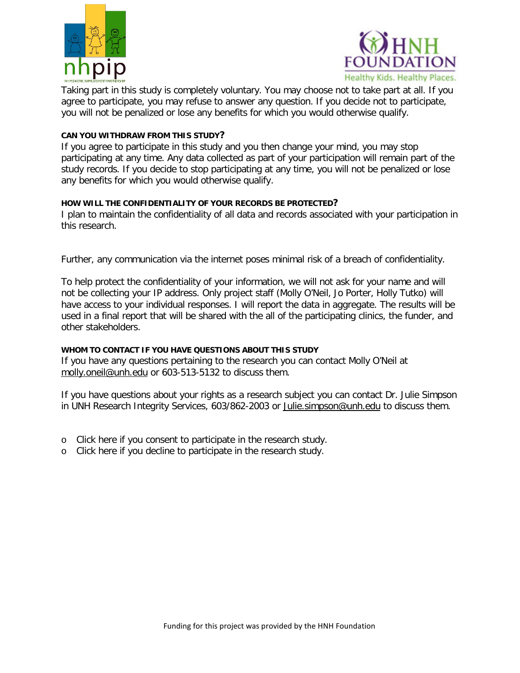



Taking part in this study is completely voluntary. You may choose not to take part at all. If you agree to participate, you may refuse to answer any question. If you decide not to participate, you will not be penalized or lose any benefits for which you would otherwise qualify.

#### **CAN YOU WITHDRAW FROM THIS STUDY?**

If you agree to participate in this study and you then change your mind, you may stop participating at any time. Any data collected as part of your participation will remain part of the study records. If you decide to stop participating at any time, you will not be penalized or lose any benefits for which you would otherwise qualify.

#### **HOW WILL THE CONFIDENTIALITY OF YOUR RECORDS BE PROTECTED?**

I plan to maintain the confidentiality of all data and records associated with your participation in this research.

Further, any communication via the internet poses minimal risk of a breach of confidentiality.

To help protect the confidentiality of your information, we will not ask for your name and will not be collecting your IP address. Only project staff (Molly O'Neil, Jo Porter, Holly Tutko) will have access to your individual responses. I will report the data in aggregate. The results will be used in a final report that will be shared with the all of the participating clinics, the funder, and other stakeholders.

## **WHOM TO CONTACT IF YOU HAVE QUESTIONS ABOUT THIS STUDY**

If you have any questions pertaining to the research you can contact Molly O'Neil at molly.oneil@unh.edu or 603-513-5132 to discuss them.

If you have questions about your rights as a research subject you can contact Dr. Julie Simpson in UNH Research Integrity Services, 603/862-2003 or Julie.simpson@unh.edu to discuss them.

- o Click here if you consent to participate in the research study.
- o Click here if you decline to participate in the research study.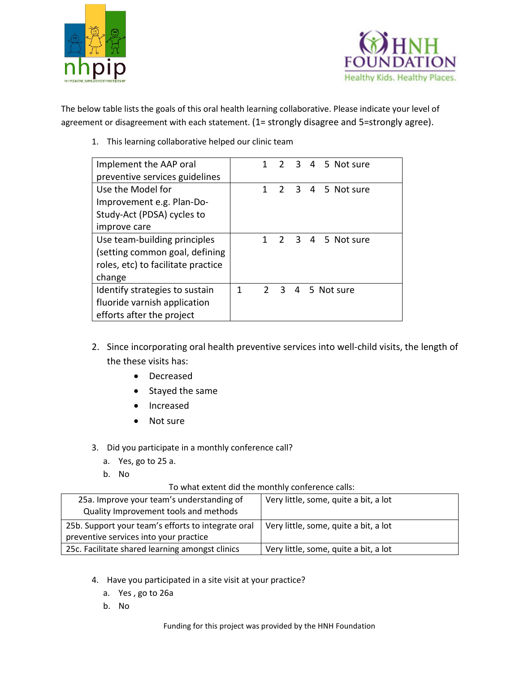



The below table lists the goals of this oral health learning collaborative. Please indicate your level of agreement or disagreement with each statement. (1= strongly disagree and 5=strongly agree).

1. This learning collaborative helped our clinic team

| Implement the AAP oral             |   |   |  | 1 2 3 4 5 Not sure |
|------------------------------------|---|---|--|--------------------|
| preventive services guidelines     |   |   |  |                    |
| Use the Model for                  |   | 1 |  | 2 3 4 5 Not sure   |
| Improvement e.g. Plan-Do-          |   |   |  |                    |
| Study-Act (PDSA) cycles to         |   |   |  |                    |
| improve care                       |   |   |  |                    |
| Use team-building principles       |   | 1 |  | 2 3 4 5 Not sure   |
| (setting common goal, defining     |   |   |  |                    |
| roles, etc) to facilitate practice |   |   |  |                    |
| change                             |   |   |  |                    |
| Identify strategies to sustain     | 1 |   |  | 2 3 4 5 Not sure   |
| fluoride varnish application       |   |   |  |                    |
| efforts after the project          |   |   |  |                    |

- 2. Since incorporating oral health preventive services into well-child visits, the length of the these visits has:
	- Decreased
	- Stayed the same
	- Increased
	- Not sure
- 3. Did you participate in a monthly conference call?
	- a. Yes, go to 25 a.
	- b. No

#### To what extent did the monthly conference calls:

| 25a. Improve your team's understanding of<br>Quality Improvement tools and methods | Very little, some, quite a bit, a lot |
|------------------------------------------------------------------------------------|---------------------------------------|
| 25b. Support your team's efforts to integrate oral                                 | Very little, some, quite a bit, a lot |
| preventive services into your practice                                             |                                       |
| 25c. Facilitate shared learning amongst clinics                                    | Very little, some, quite a bit, a lot |

- 4. Have you participated in a site visit at your practice?
	- a. Yes , go to 26a
	- b. No